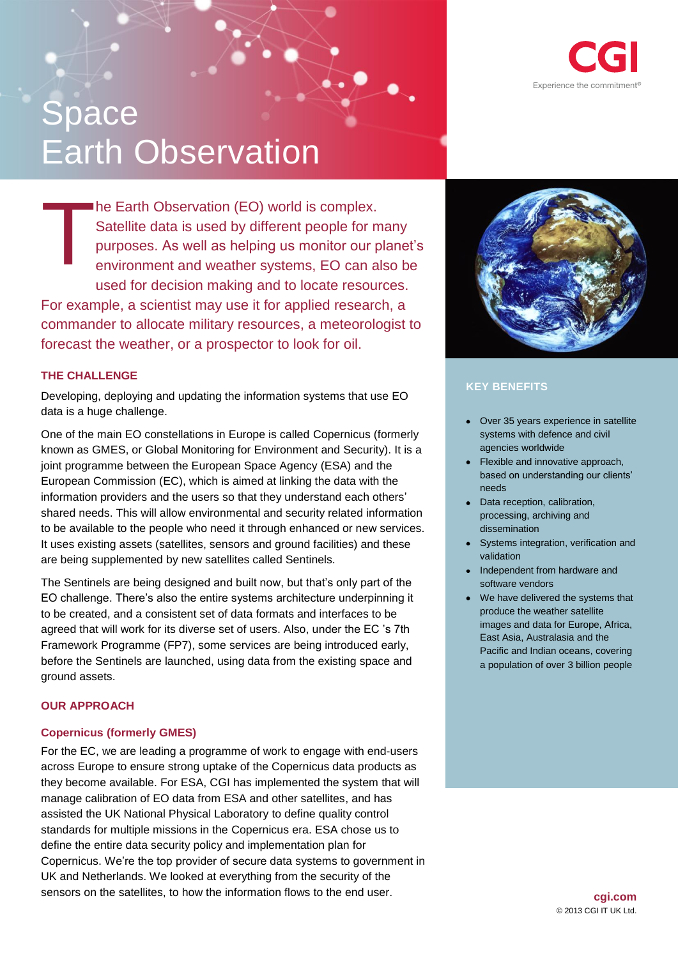## **cgi.com** © 2013 CGI IT UK Ltd.

# Experience the commitment<sup>®</sup>

# **Space** Earth Observation

he Earth Observation (EO) world is complex. Satellite data is used by different people for many purposes. As well as helping us monitor our planet's environment and weather systems, EO can also be used for decision making and to locate resources. For example, a scientist may use it for applied research, a commander to allocate military resources, a meteorologist to forecast the weather, or a prospector to look for oil. T

# **THE CHALLENGE**

Developing, deploying and updating the information systems that use EO data is a huge challenge.

One of the main EO constellations in Europe is called Copernicus (formerly known as GMES, or Global Monitoring for Environment and Security). It is a joint programme between the European Space Agency (ESA) and the European Commission (EC), which is aimed at linking the data with the information providers and the users so that they understand each others' shared needs. This will allow environmental and security related information to be available to the people who need it through enhanced or new services. It uses existing assets (satellites, sensors and ground facilities) and these are being supplemented by new satellites called Sentinels.

The Sentinels are being designed and built now, but that's only part of the EO challenge. There's also the entire systems architecture underpinning it to be created, and a consistent set of data formats and interfaces to be agreed that will work for its diverse set of users. Also, under the EC 's 7th Framework Programme (FP7), some services are being introduced early, before the Sentinels are launched, using data from the existing space and ground assets.

# **OUR APPROACH**

# **Copernicus (formerly GMES)**

For the EC, we are leading a programme of work to engage with end-users across Europe to ensure strong uptake of the Copernicus data products as they become available. For ESA, CGI has implemented the system that will manage calibration of EO data from ESA and other satellites, and has assisted the UK National Physical Laboratory to define quality control standards for multiple missions in the Copernicus era. ESA chose us to define the entire data security policy and implementation plan for Copernicus. We're the top provider of secure data systems to government in UK and Netherlands. We looked at everything from the security of the sensors on the satellites, to how the information flows to the end user.



# **KEY BENEFITS**

- Over 35 years experience in satellite systems with defence and civil agencies worldwide
- Flexible and innovative approach, based on understanding our clients' needs
- Data reception, calibration, processing, archiving and dissemination
- Systems integration, verification and validation
- Independent from hardware and software vendors
- We have delivered the systems that produce the weather satellite images and data for Europe, Africa, East Asia, Australasia and the Pacific and Indian oceans, covering a population of over 3 billion people